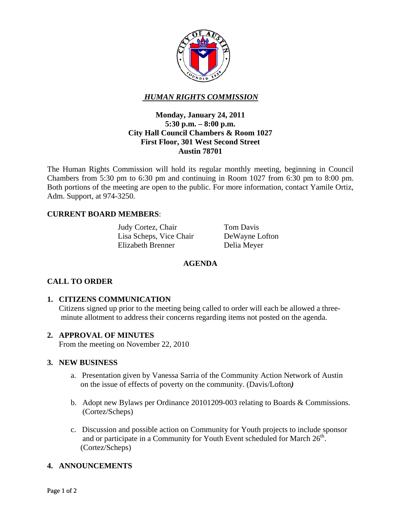

# *HUMAN RIGHTS COMMISSION*

### **Monday, January 24, 2011 5:30 p.m. – 8:00 p.m. City Hall Council Chambers & Room 1027 First Floor, 301 West Second Street Austin 78701**

The Human Rights Commission will hold its regular monthly meeting, beginning in Council Chambers from 5:30 pm to 6:30 pm and continuing in Room 1027 from 6:30 pm to 8:00 pm. Both portions of the meeting are open to the public. For more information, contact Yamile Ortiz, Adm. Support, at 974-3250.

### **CURRENT BOARD MEMBERS**:

Judy Cortez, Chair Tom Davis Lisa Scheps, Vice Chair DeWayne Lofton Elizabeth Brenner Delia Meyer

### **AGENDA**

### **CALL TO ORDER**

### **1. CITIZENS COMMUNICATION**

 Citizens signed up prior to the meeting being called to order will each be allowed a three minute allotment to address their concerns regarding items not posted on the agenda.

### **2. APPROVAL OF MINUTES**

From the meeting on November 22, 2010

#### **3. NEW BUSINESS**

- a.Presentation given by Vanessa Sarria of the Community Action Network of Austin on the issue of effects of poverty on the community. (Davis/Lofton*)*
- b. Adopt new Bylaws per Ordinance 20101209-003 relating to Boards & Commissions. (Cortez/Scheps)
- c. Discussion and possible action on Community for Youth projects to include sponsor and or participate in a Community for Youth Event scheduled for March  $26<sup>th</sup>$ . (Cortez/Scheps)

### **4. ANNOUNCEMENTS**